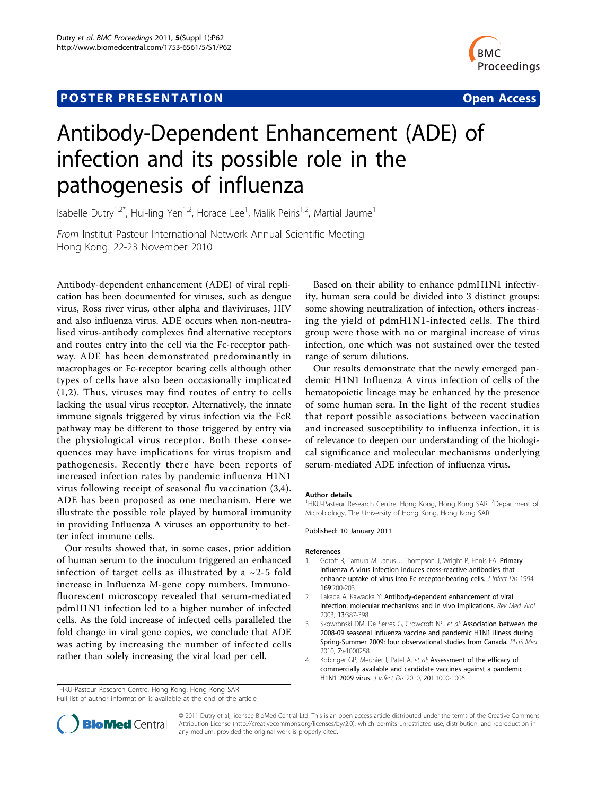## **POSTER PRESENTATION CONSUMING THE SERVICE SERVICE SERVICES**



# Antibody-Dependent Enhancement (ADE) of infection and its possible role in the pathogenesis of influenza

Isabelle Dutry<sup>1,2\*</sup>, Hui-ling Yen<sup>1,2</sup>, Horace Lee<sup>1</sup>, Malik Peiris<sup>1,2</sup>, Martial Jaume<sup>1</sup>

From Institut Pasteur International Network Annual Scientific Meeting Hong Kong. 22-23 November 2010

Antibody-dependent enhancement (ADE) of viral replication has been documented for viruses, such as dengue virus, Ross river virus, other alpha and flaviviruses, HIV and also influenza virus. ADE occurs when non-neutralised virus-antibody complexes find alternative receptors and routes entry into the cell via the Fc-receptor pathway. ADE has been demonstrated predominantly in macrophages or Fc-receptor bearing cells although other types of cells have also been occasionally implicated (1,2). Thus, viruses may find routes of entry to cells lacking the usual virus receptor. Alternatively, the innate immune signals triggered by virus infection via the FcR pathway may be different to those triggered by entry via the physiological virus receptor. Both these consequences may have implications for virus tropism and pathogenesis. Recently there have been reports of increased infection rates by pandemic influenza H1N1 virus following receipt of seasonal flu vaccination (3,4). ADE has been proposed as one mechanism. Here we illustrate the possible role played by humoral immunity in providing Influenza A viruses an opportunity to better infect immune cells.

Our results showed that, in some cases, prior addition of human serum to the inoculum triggered an enhanced infection of target cells as illustrated by a  $\sim$ 2-5 fold increase in Influenza M-gene copy numbers. Immunofluorescent microscopy revealed that serum-mediated pdmH1N1 infection led to a higher number of infected cells. As the fold increase of infected cells paralleled the fold change in viral gene copies, we conclude that ADE was acting by increasing the number of infected cells rather than solely increasing the viral load per cell.

Based on their ability to enhance pdmH1N1 infectivity, human sera could be divided into 3 distinct groups: some showing neutralization of infection, others increasing the yield of pdmH1N1-infected cells. The third group were those with no or marginal increase of virus infection, one which was not sustained over the tested range of serum dilutions.

Our results demonstrate that the newly emerged pandemic H1N1 Influenza A virus infection of cells of the hematopoietic lineage may be enhanced by the presence of some human sera. In the light of the recent studies that report possible associations between vaccination and increased susceptibility to influenza infection, it is of relevance to deepen our understanding of the biological significance and molecular mechanisms underlying serum-mediated ADE infection of influenza virus.

#### Author details

<sup>1</sup>HKU-Pasteur Research Centre, Hong Kong, Hong Kong SAR. <sup>2</sup>Department of Microbiology, The University of Hong Kong, Hong Kong SAR.

Published: 10 January 2011

#### References

- 1. Gotoff R, Tamura M, Janus J, Thompson J, Wright P, Ennis FA: [Primary](http://www.ncbi.nlm.nih.gov/pubmed/8277183?dopt=Abstract) [influenza A virus infection induces cross-reactive antibodies that](http://www.ncbi.nlm.nih.gov/pubmed/8277183?dopt=Abstract) [enhance uptake of virus into Fc receptor-bearing cells.](http://www.ncbi.nlm.nih.gov/pubmed/8277183?dopt=Abstract) J Infect Dis 1994, 169:200-203.
- 2. Takada A, Kawaoka Y: [Antibody-dependent enhancement of viral](http://www.ncbi.nlm.nih.gov/pubmed/14625886?dopt=Abstract) [infection: molecular mechanisms and in vivo implications.](http://www.ncbi.nlm.nih.gov/pubmed/14625886?dopt=Abstract) Rev Med Virol 2003, 13:387-398.
- Skowronski DM, De Serres G, Crowcroft NS, et al: [Association between the](http://www.ncbi.nlm.nih.gov/pubmed/20386731?dopt=Abstract) [2008-09 seasonal influenza vaccine and pandemic H1N1 illness during](http://www.ncbi.nlm.nih.gov/pubmed/20386731?dopt=Abstract) [Spring-Summer 2009: four observational studies from Canada.](http://www.ncbi.nlm.nih.gov/pubmed/20386731?dopt=Abstract) PLoS Med 2010, 7:e1000258.
- 4. Kobinger GP, Meunier I, Patel A, et al: [Assessment of the efficacy of](http://www.ncbi.nlm.nih.gov/pubmed/20170374?dopt=Abstract) [commercially available and candidate vaccines against a pandemic](http://www.ncbi.nlm.nih.gov/pubmed/20170374?dopt=Abstract) [H1N1 2009 virus.](http://www.ncbi.nlm.nih.gov/pubmed/20170374?dopt=Abstract) J Infect Dis 2010, 201:1000-1006.

Full list of author information is available at the end of the article



© 2011 Dutry et al; licensee BioMed Central Ltd. This is an open access article distributed under the terms of the Creative Commons Attribution License [\(http://creativecommons.org/licenses/by/2.0](http://creativecommons.org/licenses/by/2.0)), which permits unrestricted use, distribution, and reproduction in any medium, provided the original work is properly cited.

<sup>&</sup>lt;sup>1</sup>HKU-Pasteur Research Centre, Hong Kong, Hong Kong SAR